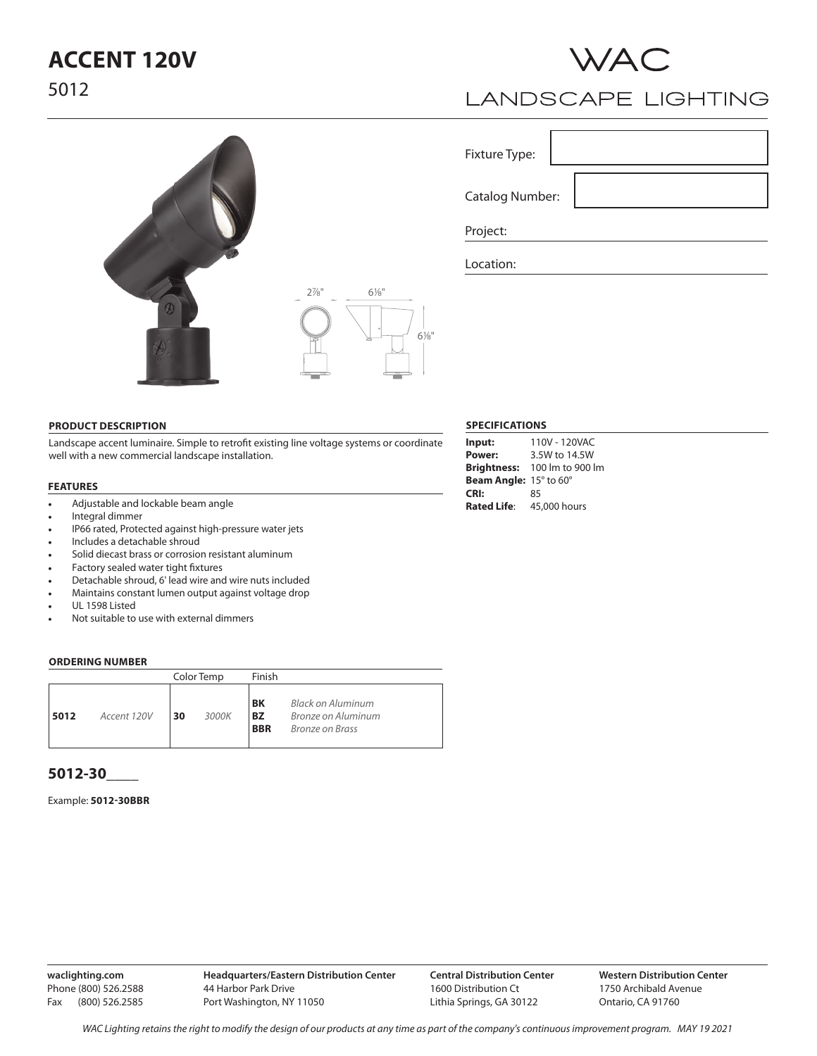# **ACCENT 120V** 5012



## **LANDSCAPE LIGHTING**

Fixture Type:

Catalog Number:

Project:

Location:

**PRODUCT DESCRIPTION**

Landscape accent luminaire. Simple to retrofit existing line voltage systems or coordinate well with a new commercial landscape installation.

### **FEATURES**

- Adjustable and lockable beam angle
- Integral dimmer
- IP66 rated, Protected against high-pressure water jets
- Includes a detachable shroud
- Solid diecast brass or corrosion resistant aluminum
- Factory sealed water tight fixtures
- Detachable shroud, 6' lead wire and wire nuts included
- Maintains constant lumen output against voltage drop
- UL 1598 Listed
- Not suitable to use with external dimmers

#### **ORDERING NUMBER**

|      |             | Color Temp |       | Finish                        |                                                                   |
|------|-------------|------------|-------|-------------------------------|-------------------------------------------------------------------|
| 5012 | Accent 120V | 30         | 3000K | BK<br><b>BZ</b><br><b>BBR</b> | Black on Aluminum<br>Bronze on Aluminum<br><b>Bronze on Brass</b> |

### **5012-30\_\_\_\_**

### Example: **5012-30BBR**

**waclighting.com** Phone (800) 526.2588 Fax (800) 526.2585

## **SPECIFICATIONS**

| Input:                        | 110V - 120VAC                |  |  |  |
|-------------------------------|------------------------------|--|--|--|
| Power:                        | 3.5W to 14.5W                |  |  |  |
|                               | Brightness: 100 lm to 900 lm |  |  |  |
| <b>Beam Angle:</b> 15° to 60° |                              |  |  |  |
| CRI:                          | 85                           |  |  |  |
| <b>Rated Life:</b>            | 45,000 hours                 |  |  |  |